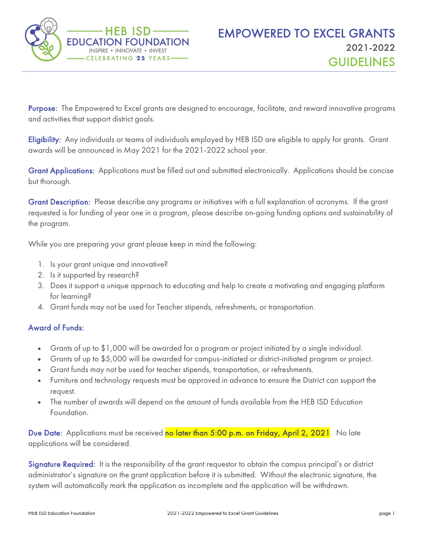

Purpose: The Empowered to Excel grants are designed to encourage, facilitate, and reward innovative programs and activities that support district goals.

Eligibility: Any individuals or teams of individuals employed by HEB ISD are eligible to apply for grants. Grant awards will be announced in May 2021 for the 2021-2022 school year.

Grant Applications: Applications must be filled out and submitted electronically. Applications should be concise but thorough.

Grant Description: Please describe any programs or initiatives with a full explanation of acronyms. If the grant requested is for funding of year one in a program, please describe on-going funding options and sustainability of the program.

While you are preparing your grant please keep in mind the following:

- 1. Is your grant unique and innovative?
- 2. Is it supported by research?
- 3. Does it support a unique approach to educating and help to create a motivating and engaging platform for learning?
- 4. Grant funds may not be used for Teacher stipends, refreshments, or transportation.

## Award of Funds:

- Grants of up to \$1,000 will be awarded for a program or project initiated by a single individual.
- Grants of up to \$5,000 will be awarded for campus-initiated or district-initiated program or project.
- Grant funds may not be used for teacher stipends, transportation, or refreshments.
- Furniture and technology requests must be approved in advance to ensure the District can support the request.
- The number of awards will depend on the amount of funds available from the HEB ISD Education Foundation.

Due Date: Applications must be received no later than 5:00 p.m. on Friday, April 2, 2021. No late applications will be considered.

Signature Required: It is the responsibility of the grant requestor to obtain the campus principal's or district administrator's signature on the grant application before it is submitted. Without the electronic signature, the system will automatically mark the application as incomplete and the application will be withdrawn.